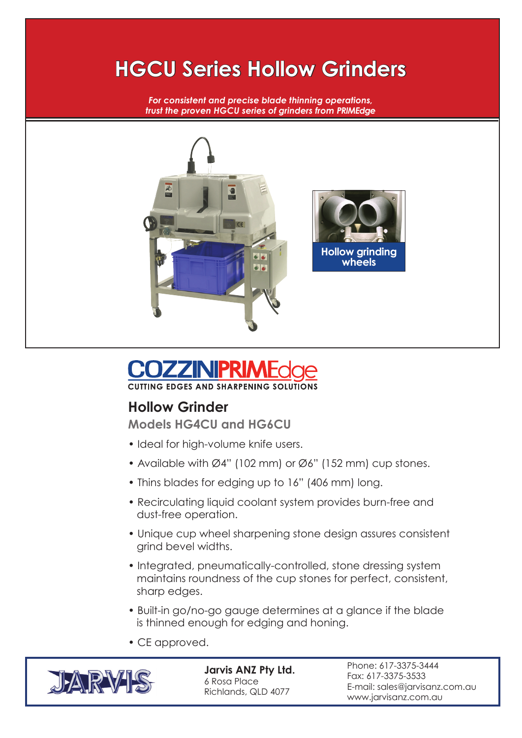## **HGCU Series Hollow Grinders**

*For consistent and precise blade thinning operations, trust the proven HGCU series of grinders from PRIMEdge*





## **Hollow Grinder**

**Models HG4CU and HG6CU**

- Ideal for high-volume knife users.
- Available with Ø4" (102 mm) or Ø6" (152 mm) cup stones.
- Thins blades for edging up to 16" (406 mm) long.
- Recirculating liquid coolant system provides burn-free and dust-free operation.
- Unique cup wheel sharpening stone design assures consistent grind bevel widths.
- Integrated, pneumatically-controlled, stone dressing system maintains roundness of the cup stones for perfect, consistent, sharp edges.
- Built-in go/no-go gauge determines at a glance if the blade is thinned enough for edging and honing.
- CE approved.



**Jarvis ANZ Pty Ltd.** 6 Rosa Place Richlands, QLD 4077

Phone: 617-3375-3444 Fax: 617-3375-3533 E-mail: sales@jarvisanz.com.au www.jarvisanz.com.au